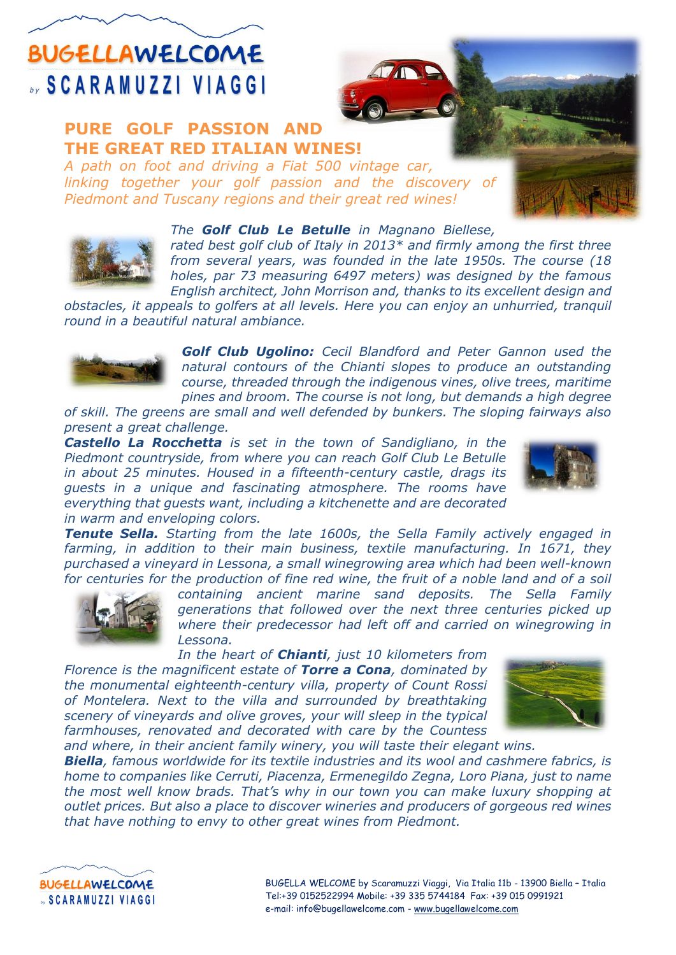### **BUGELLAWELCOME SCARAMUZZI VIAGGI**

### **PURE GOLF PASSION AND THE GREAT RED ITALIAN WINES!**

*A path on foot and driving a Fiat 500 vintage car, linking together your golf passion and the discovery of Piedmont and Tuscany regions and their great red wines!* 



#### *The Golf Club Le Betulle in Magnano Biellese,*

*rated best golf club of Italy in 2013\* and firmly among the first three from several years, was founded in the late 1950s. The course (18 holes, par 73 measuring 6497 meters) was designed by the famous English architect, John Morrison and, thanks to its excellent design and* 

*obstacles, it appeals to golfers at all levels. Here you can enjoy an unhurried, tranquil round in a beautiful natural ambiance.*



*Golf Club Ugolino: Cecil Blandford and Peter Gannon used the natural contours of the Chianti slopes to produce an outstanding course, threaded through the indigenous vines, olive trees, maritime pines and broom. The course is not long, but demands a high degree* 

*of skill. The greens are small and well defended by bunkers. The sloping fairways also present a great challenge.* 

*Castello La Rocchetta is set in the town of Sandigliano, in the Piedmont countryside, from where you can reach Golf Club Le Betulle in about 25 minutes. Housed in a fifteenth-century castle, drags its guests in a unique and fascinating atmosphere. The rooms have everything that guests want, including a kitchenette and are decorated in warm and enveloping colors.*



*Tenute Sella. Starting from the late 1600s, the Sella Family actively engaged in farming, in addition to their main business, textile manufacturing. In 1671, they purchased a vineyard in Lessona, a small winegrowing area which had been well-known for centuries for the production of fine red wine, the fruit of a noble land and of a soil* 



*containing ancient marine sand deposits. The Sella Family generations that followed over the next three centuries picked up where their predecessor had left off and carried on winegrowing in Lessona.*

*In the heart of Chianti, just 10 kilometers from* 

*Florence is the magnificent estate of Torre a Cona, dominated by the monumental eighteenth-century villa, property of Count Rossi of Montelera. Next to the villa and surrounded by breathtaking scenery of vineyards and olive groves, your will sleep in the typical farmhouses, renovated and decorated with care by the Countess and where, in their ancient family winery, you will taste their elegant wins.*



*Biella, famous worldwide for its textile industries and its wool and cashmere fabrics, is home to companies like Cerruti, Piacenza, Ermenegildo Zegna, Loro Piana, just to name the most well know brads. That's why in our town you can make luxury shopping at outlet prices. But also a place to discover wineries and producers of gorgeous red wines that have nothing to envy to other great wines from Piedmont.*



BUGELLA WELCOME by Scaramuzzi Viaggi, Via Italia 11b - 13900 Biella – Italia Tel:+39 0152522994 Mobile: +39 335 5744184 Fax: +39 015 0991921 e-mail: info@bugellawelcome.com - [www.bugellawelcome.com](http://www.bugellawelcome.com/)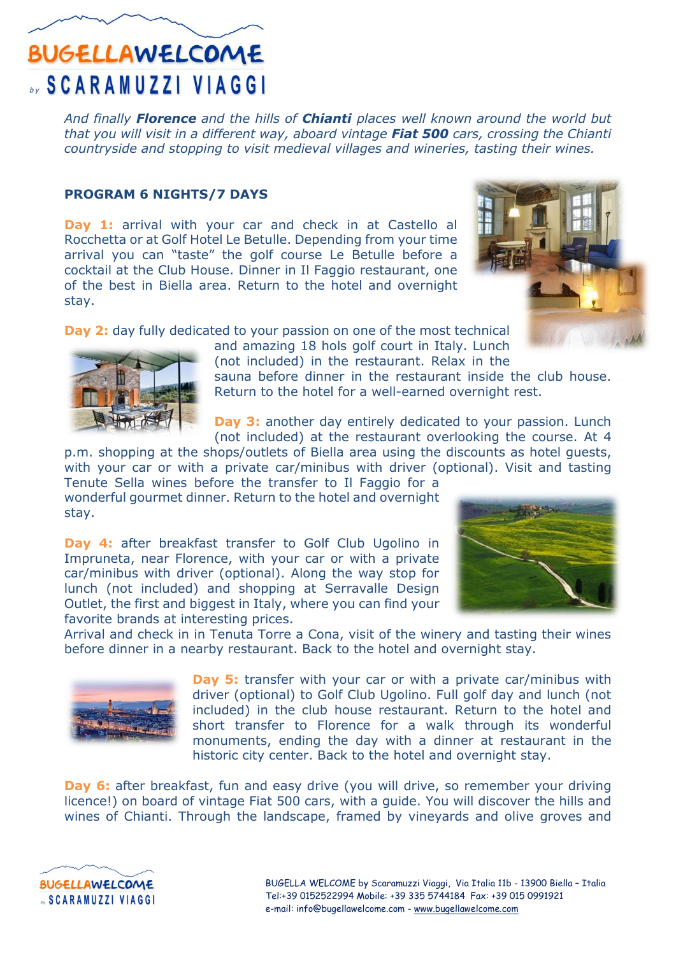## **BUGELLAWELCOME SCARAMUZZI VIAGGI**

*And finally Florence and the hills of Chianti places well known around the world but that you will visit in a different way, aboard vintage Fiat 500 cars, crossing the Chianti countryside and stopping to visit medieval villages and wineries, tasting their wines.*

#### **PROGRAM 6 NIGHTS/7 DAYS**

Day 1: arrival with your car and check in at Castello al Rocchetta or at Golf Hotel Le Betulle. Depending from your time arrival you can "taste" the golf course Le Betulle before a cocktail at the Club House. Dinner in Il Faggio restaurant, one of the best in Biella area. Return to the hotel and overnight stay.



**Day 2:** day fully dedicated to your passion on one of the most technical



and amazing 18 hols golf court in Italy. Lunch (not included) in the restaurant. Relax in the sauna before dinner in the restaurant inside the club house.

Return to the hotel for a well-earned overnight rest.

**Day 3:** another day entirely dedicated to your passion. Lunch (not included) at the restaurant overlooking the course. At 4

p.m. shopping at the shops/outlets of Biella area using the discounts as hotel guests, with your car or with a private car/minibus with driver (optional). Visit and tasting Tenute Sella wines before the transfer to Il Faggio for a

wonderful gourmet dinner. Return to the hotel and overnight stay.

**Day 4:** after breakfast transfer to Golf Club Ugolino in Impruneta, near Florence, with your car or with a private car/minibus with driver (optional). Along the way stop for lunch (not included) and shopping at Serravalle Design Outlet, the first and biggest in Italy, where you can find your favorite brands at interesting prices.



Arrival and check in in Tenuta Torre a Cona, visit of the winery and tasting their wines before dinner in a nearby restaurant. Back to the hotel and overnight stay.



**Day 5:** transfer with your car or with a private car/minibus with driver (optional) to Golf Club Ugolino. Full golf day and lunch (not included) in the club house restaurant. Return to the hotel and short transfer to Florence for a walk through its wonderful monuments, ending the day with a dinner at restaurant in the historic city center. Back to the hotel and overnight stay.

**Day 6:** after breakfast, fun and easy drive (you will drive, so remember your driving licence!) on board of vintage Fiat 500 cars, with a guide. You will discover the hills and wines of Chianti. Through the landscape, framed by vineyards and olive groves and